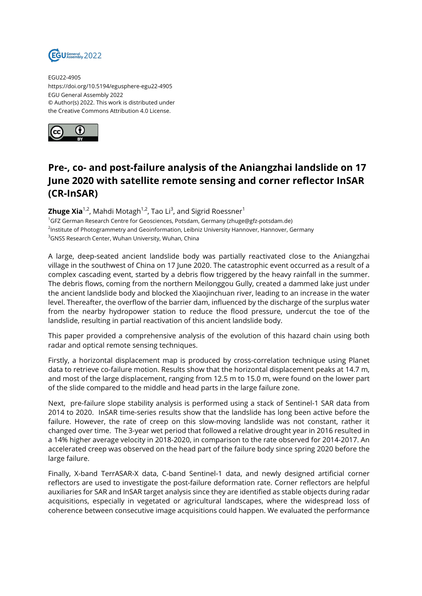

EGU22-4905 https://doi.org/10.5194/egusphere-egu22-4905 EGU General Assembly 2022 © Author(s) 2022. This work is distributed under the Creative Commons Attribution 4.0 License.



## **Pre-, co- and post-failure analysis of the Aniangzhai landslide on 17 June 2020 with satellite remote sensing and corner reflector InSAR (CR-InSAR)**

**Zhuge Xia**<sup>1,2</sup>, Mahdi Motagh<sup>1,2</sup>, Tao Li<sup>3</sup>, and Sigrid Roessner<sup>1</sup> <sup>1</sup>GFZ German Research Centre for Geosciences, Potsdam, Germany (zhuge@gfz-potsdam.de) <sup>2</sup>lnstitute of Photogrammetry and Geoinformation, Leibniz University Hannover, Hannover, Germany <sup>3</sup>GNSS Research Center, Wuhan University, Wuhan, China

A large, deep-seated ancient landslide body was partially reactivated close to the Aniangzhai village in the southwest of China on 17 June 2020. The catastrophic event occurred as a result of a complex cascading event, started by a debris flow triggered by the heavy rainfall in the summer. The debris flows, coming from the northern Meilonggou Gully, created a dammed lake just under the ancient landslide body and blocked the Xiaojinchuan river, leading to an increase in the water level. Thereafter, the overflow of the barrier dam, influenced by the discharge of the surplus water from the nearby hydropower station to reduce the flood pressure, undercut the toe of the landslide, resulting in partial reactivation of this ancient landslide body.

This paper provided a comprehensive analysis of the evolution of this hazard chain using both radar and optical remote sensing techniques.

Firstly, a horizontal displacement map is produced by cross-correlation technique using Planet data to retrieve co-failure motion. Results show that the horizontal displacement peaks at 14.7 m, and most of the large displacement, ranging from 12.5 m to 15.0 m, were found on the lower part of the slide compared to the middle and head parts in the large failure zone.

Next, pre-failure slope stability analysis is performed using a stack of Sentinel-1 SAR data from 2014 to 2020. InSAR time-series results show that the landslide has long been active before the failure. However, the rate of creep on this slow-moving landslide was not constant, rather it changed over time. The 3-year wet period that followed a relative drought year in 2016 resulted in a 14% higher average velocity in 2018-2020, in comparison to the rate observed for 2014-2017. An accelerated creep was observed on the head part of the failure body since spring 2020 before the large failure.

Finally, X-band TerrASAR-X data, C-band Sentinel-1 data, and newly designed artificial corner reflectors are used to investigate the post-failure deformation rate. Corner reflectors are helpful auxiliaries for SAR and InSAR target analysis since they are identified as stable objects during radar acquisitions, especially in vegetated or agricultural landscapes, where the widespread loss of coherence between consecutive image acquisitions could happen. We evaluated the performance